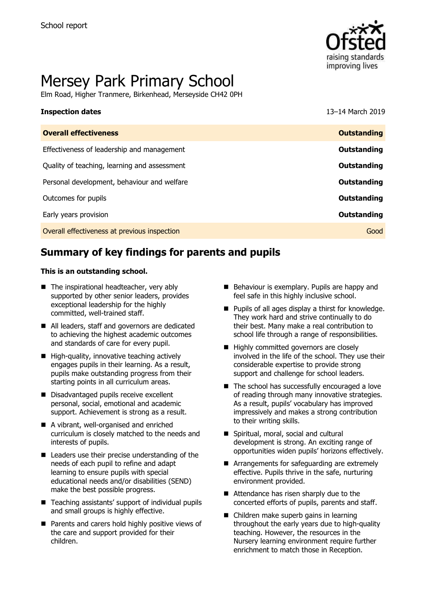

# Mersey Park Primary School

Elm Road, Higher Tranmere, Birkenhead, Merseyside CH42 0PH

# **Inspection dates** 13–14 March 2019

| <b>Overall effectiveness</b>                 | <b>Outstanding</b> |
|----------------------------------------------|--------------------|
| Effectiveness of leadership and management   | Outstanding        |
| Quality of teaching, learning and assessment | Outstanding        |
| Personal development, behaviour and welfare  | Outstanding        |
| Outcomes for pupils                          | <b>Outstanding</b> |
| Early years provision                        | Outstanding        |
| Overall effectiveness at previous inspection | Good               |
|                                              |                    |

# **Summary of key findings for parents and pupils**

#### **This is an outstanding school.**

- The inspirational headteacher, very ably supported by other senior leaders, provides exceptional leadership for the highly committed, well-trained staff.
- All leaders, staff and governors are dedicated to achieving the highest academic outcomes and standards of care for every pupil.
- $\blacksquare$  High-quality, innovative teaching actively engages pupils in their learning. As a result, pupils make outstanding progress from their starting points in all curriculum areas.
- Disadvantaged pupils receive excellent personal, social, emotional and academic support. Achievement is strong as a result.
- A vibrant, well-organised and enriched curriculum is closely matched to the needs and interests of pupils.
- Leaders use their precise understanding of the needs of each pupil to refine and adapt learning to ensure pupils with special educational needs and/or disabilities (SEND) make the best possible progress.
- Teaching assistants' support of individual pupils and small groups is highly effective.
- Parents and carers hold highly positive views of the care and support provided for their children.
- Behaviour is exemplary. Pupils are happy and feel safe in this highly inclusive school.
- **Pupils of all ages display a thirst for knowledge.** They work hard and strive continually to do their best. Many make a real contribution to school life through a range of responsibilities.
- Highly committed governors are closely involved in the life of the school. They use their considerable expertise to provide strong support and challenge for school leaders.
- The school has successfully encouraged a love of reading through many innovative strategies. As a result, pupils' vocabulary has improved impressively and makes a strong contribution to their writing skills.
- Spiritual, moral, social and cultural development is strong. An exciting range of opportunities widen pupils' horizons effectively.
- Arrangements for safeguarding are extremely effective. Pupils thrive in the safe, nurturing environment provided.
- Attendance has risen sharply due to the concerted efforts of pupils, parents and staff.
- Children make superb gains in learning throughout the early years due to high-quality teaching. However, the resources in the Nursery learning environment require further enrichment to match those in Reception.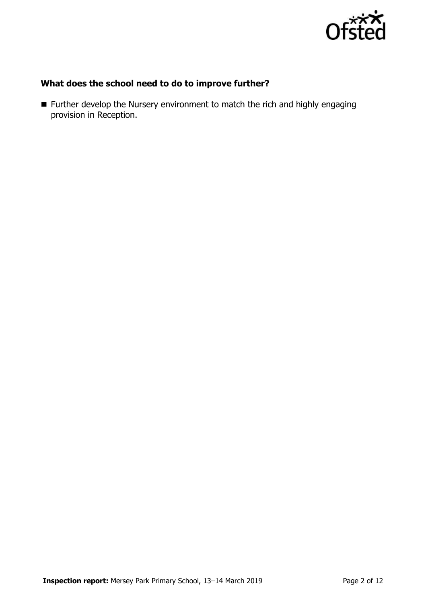

## **What does the school need to do to improve further?**

 Further develop the Nursery environment to match the rich and highly engaging provision in Reception.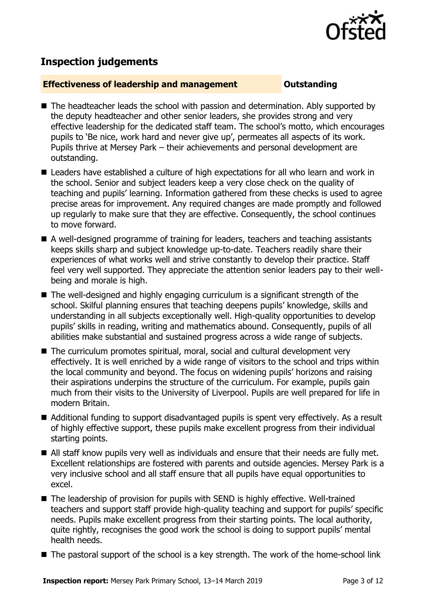

## **Inspection judgements**

#### **Effectiveness of leadership and management Constanding**

- The headteacher leads the school with passion and determination. Ably supported by the deputy headteacher and other senior leaders, she provides strong and very effective leadership for the dedicated staff team. The school's motto, which encourages pupils to 'Be nice, work hard and never give up', permeates all aspects of its work. Pupils thrive at Mersey Park – their achievements and personal development are outstanding.
- Leaders have established a culture of high expectations for all who learn and work in the school. Senior and subject leaders keep a very close check on the quality of teaching and pupils' learning. Information gathered from these checks is used to agree precise areas for improvement. Any required changes are made promptly and followed up regularly to make sure that they are effective. Consequently, the school continues to move forward.
- A well-designed programme of training for leaders, teachers and teaching assistants keeps skills sharp and subject knowledge up-to-date. Teachers readily share their experiences of what works well and strive constantly to develop their practice. Staff feel very well supported. They appreciate the attention senior leaders pay to their wellbeing and morale is high.
- The well-designed and highly engaging curriculum is a significant strength of the school. Skilful planning ensures that teaching deepens pupils' knowledge, skills and understanding in all subjects exceptionally well. High-quality opportunities to develop pupils' skills in reading, writing and mathematics abound. Consequently, pupils of all abilities make substantial and sustained progress across a wide range of subjects.
- The curriculum promotes spiritual, moral, social and cultural development very effectively. It is well enriched by a wide range of visitors to the school and trips within the local community and beyond. The focus on widening pupils' horizons and raising their aspirations underpins the structure of the curriculum. For example, pupils gain much from their visits to the University of Liverpool. Pupils are well prepared for life in modern Britain.
- Additional funding to support disadvantaged pupils is spent very effectively. As a result of highly effective support, these pupils make excellent progress from their individual starting points.
- All staff know pupils very well as individuals and ensure that their needs are fully met. Excellent relationships are fostered with parents and outside agencies. Mersey Park is a very inclusive school and all staff ensure that all pupils have equal opportunities to excel.
- The leadership of provision for pupils with SEND is highly effective. Well-trained teachers and support staff provide high-quality teaching and support for pupils' specific needs. Pupils make excellent progress from their starting points. The local authority, quite rightly, recognises the good work the school is doing to support pupils' mental health needs.
- The pastoral support of the school is a key strength. The work of the home-school link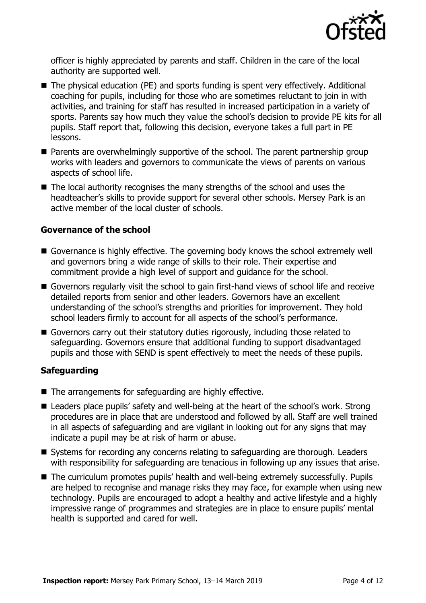

officer is highly appreciated by parents and staff. Children in the care of the local authority are supported well.

- The physical education (PE) and sports funding is spent very effectively. Additional coaching for pupils, including for those who are sometimes reluctant to join in with activities, and training for staff has resulted in increased participation in a variety of sports. Parents say how much they value the school's decision to provide PE kits for all pupils. Staff report that, following this decision, everyone takes a full part in PE lessons.
- **Parents are overwhelmingly supportive of the school. The parent partnership group** works with leaders and governors to communicate the views of parents on various aspects of school life.
- The local authority recognises the many strengths of the school and uses the headteacher's skills to provide support for several other schools. Mersey Park is an active member of the local cluster of schools.

#### **Governance of the school**

- Governance is highly effective. The governing body knows the school extremely well and governors bring a wide range of skills to their role. Their expertise and commitment provide a high level of support and guidance for the school.
- Governors regularly visit the school to gain first-hand views of school life and receive detailed reports from senior and other leaders. Governors have an excellent understanding of the school's strengths and priorities for improvement. They hold school leaders firmly to account for all aspects of the school's performance.
- Governors carry out their statutory duties rigorously, including those related to safeguarding. Governors ensure that additional funding to support disadvantaged pupils and those with SEND is spent effectively to meet the needs of these pupils.

### **Safeguarding**

- $\blacksquare$  The arrangements for safeguarding are highly effective.
- Leaders place pupils' safety and well-being at the heart of the school's work. Strong procedures are in place that are understood and followed by all. Staff are well trained in all aspects of safeguarding and are vigilant in looking out for any signs that may indicate a pupil may be at risk of harm or abuse.
- Systems for recording any concerns relating to safeguarding are thorough. Leaders with responsibility for safeguarding are tenacious in following up any issues that arise.
- The curriculum promotes pupils' health and well-being extremely successfully. Pupils are helped to recognise and manage risks they may face, for example when using new technology. Pupils are encouraged to adopt a healthy and active lifestyle and a highly impressive range of programmes and strategies are in place to ensure pupils' mental health is supported and cared for well.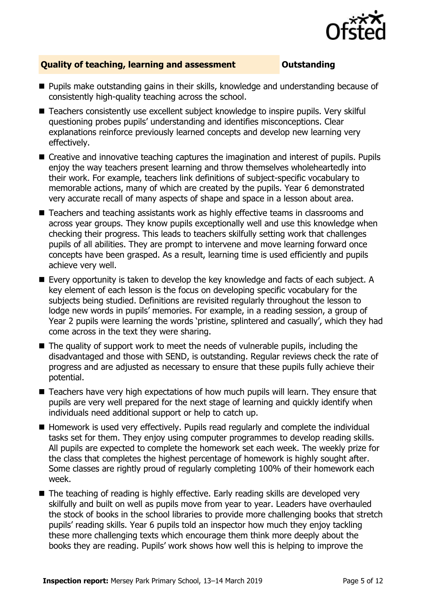

### **Quality of teaching, learning and assessment <b>COUTS** Outstanding

- **Pupils make outstanding gains in their skills, knowledge and understanding because of** consistently high-quality teaching across the school.
- Teachers consistently use excellent subject knowledge to inspire pupils. Very skilful questioning probes pupils' understanding and identifies misconceptions. Clear explanations reinforce previously learned concepts and develop new learning very effectively.
- Creative and innovative teaching captures the imagination and interest of pupils. Pupils enjoy the way teachers present learning and throw themselves wholeheartedly into their work. For example, teachers link definitions of subject-specific vocabulary to memorable actions, many of which are created by the pupils. Year 6 demonstrated very accurate recall of many aspects of shape and space in a lesson about area.
- Teachers and teaching assistants work as highly effective teams in classrooms and across year groups. They know pupils exceptionally well and use this knowledge when checking their progress. This leads to teachers skilfully setting work that challenges pupils of all abilities. They are prompt to intervene and move learning forward once concepts have been grasped. As a result, learning time is used efficiently and pupils achieve very well.
- Every opportunity is taken to develop the key knowledge and facts of each subject. A key element of each lesson is the focus on developing specific vocabulary for the subjects being studied. Definitions are revisited regularly throughout the lesson to lodge new words in pupils' memories. For example, in a reading session, a group of Year 2 pupils were learning the words 'pristine, splintered and casually', which they had come across in the text they were sharing.
- $\blacksquare$  The quality of support work to meet the needs of vulnerable pupils, including the disadvantaged and those with SEND, is outstanding. Regular reviews check the rate of progress and are adjusted as necessary to ensure that these pupils fully achieve their potential.
- Teachers have very high expectations of how much pupils will learn. They ensure that pupils are very well prepared for the next stage of learning and quickly identify when individuals need additional support or help to catch up.
- Homework is used very effectively. Pupils read regularly and complete the individual tasks set for them. They enjoy using computer programmes to develop reading skills. All pupils are expected to complete the homework set each week. The weekly prize for the class that completes the highest percentage of homework is highly sought after. Some classes are rightly proud of regularly completing 100% of their homework each week.
- The teaching of reading is highly effective. Early reading skills are developed very skilfully and built on well as pupils move from year to year. Leaders have overhauled the stock of books in the school libraries to provide more challenging books that stretch pupils' reading skills. Year 6 pupils told an inspector how much they enjoy tackling these more challenging texts which encourage them think more deeply about the books they are reading. Pupils' work shows how well this is helping to improve the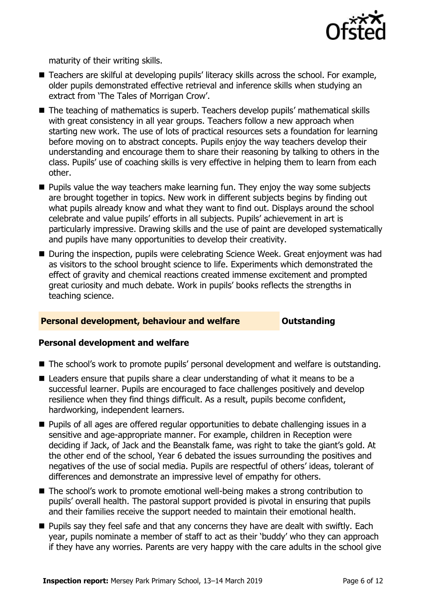

maturity of their writing skills.

- Teachers are skilful at developing pupils' literacy skills across the school. For example, older pupils demonstrated effective retrieval and inference skills when studying an extract from 'The Tales of Morrigan Crow'.
- The teaching of mathematics is superb. Teachers develop pupils' mathematical skills with great consistency in all year groups. Teachers follow a new approach when starting new work. The use of lots of practical resources sets a foundation for learning before moving on to abstract concepts. Pupils enjoy the way teachers develop their understanding and encourage them to share their reasoning by talking to others in the class. Pupils' use of coaching skills is very effective in helping them to learn from each other.
- $\blacksquare$  Pupils value the way teachers make learning fun. They enjoy the way some subjects are brought together in topics. New work in different subjects begins by finding out what pupils already know and what they want to find out. Displays around the school celebrate and value pupils' efforts in all subjects. Pupils' achievement in art is particularly impressive. Drawing skills and the use of paint are developed systematically and pupils have many opportunities to develop their creativity.
- During the inspection, pupils were celebrating Science Week. Great enjoyment was had as visitors to the school brought science to life. Experiments which demonstrated the effect of gravity and chemical reactions created immense excitement and prompted great curiosity and much debate. Work in pupils' books reflects the strengths in teaching science.

#### **Personal development, behaviour and welfare <b>COUTS** Outstanding

#### **Personal development and welfare**

- The school's work to promote pupils' personal development and welfare is outstanding.
- Leaders ensure that pupils share a clear understanding of what it means to be a successful learner. Pupils are encouraged to face challenges positively and develop resilience when they find things difficult. As a result, pupils become confident, hardworking, independent learners.
- **Pupils of all ages are offered regular opportunities to debate challenging issues in a** sensitive and age-appropriate manner. For example, children in Reception were deciding if Jack, of Jack and the Beanstalk fame, was right to take the giant's gold. At the other end of the school, Year 6 debated the issues surrounding the positives and negatives of the use of social media. Pupils are respectful of others' ideas, tolerant of differences and demonstrate an impressive level of empathy for others.
- The school's work to promote emotional well-being makes a strong contribution to pupils' overall health. The pastoral support provided is pivotal in ensuring that pupils and their families receive the support needed to maintain their emotional health.
- $\blacksquare$  Pupils say they feel safe and that any concerns they have are dealt with swiftly. Each year, pupils nominate a member of staff to act as their 'buddy' who they can approach if they have any worries. Parents are very happy with the care adults in the school give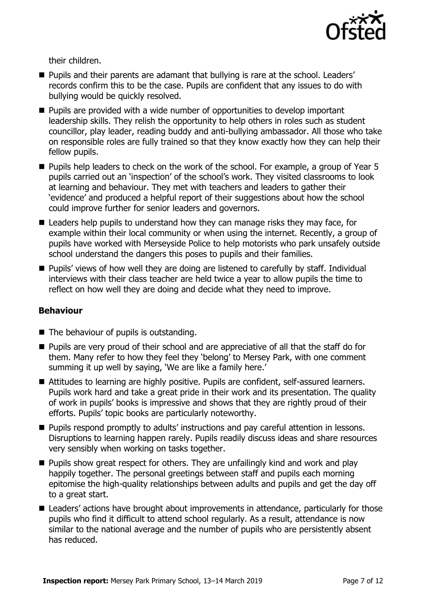

their children.

- **Pupils and their parents are adamant that bullying is rare at the school. Leaders'** records confirm this to be the case. Pupils are confident that any issues to do with bullying would be quickly resolved.
- Pupils are provided with a wide number of opportunities to develop important leadership skills. They relish the opportunity to help others in roles such as student councillor, play leader, reading buddy and anti-bullying ambassador. All those who take on responsible roles are fully trained so that they know exactly how they can help their fellow pupils.
- Pupils help leaders to check on the work of the school. For example, a group of Year 5 pupils carried out an 'inspection' of the school's work. They visited classrooms to look at learning and behaviour. They met with teachers and leaders to gather their 'evidence' and produced a helpful report of their suggestions about how the school could improve further for senior leaders and governors.
- Leaders help pupils to understand how they can manage risks they may face, for example within their local community or when using the internet. Recently, a group of pupils have worked with Merseyside Police to help motorists who park unsafely outside school understand the dangers this poses to pupils and their families.
- Pupils' views of how well they are doing are listened to carefully by staff. Individual interviews with their class teacher are held twice a year to allow pupils the time to reflect on how well they are doing and decide what they need to improve.

### **Behaviour**

- The behaviour of pupils is outstanding.
- **Pupils are very proud of their school and are appreciative of all that the staff do for** them. Many refer to how they feel they 'belong' to Mersey Park, with one comment summing it up well by saying, 'We are like a family here.'
- Attitudes to learning are highly positive. Pupils are confident, self-assured learners. Pupils work hard and take a great pride in their work and its presentation. The quality of work in pupils' books is impressive and shows that they are rightly proud of their efforts. Pupils' topic books are particularly noteworthy.
- Pupils respond promptly to adults' instructions and pay careful attention in lessons. Disruptions to learning happen rarely. Pupils readily discuss ideas and share resources very sensibly when working on tasks together.
- **Pupils show great respect for others. They are unfailingly kind and work and play** happily together. The personal greetings between staff and pupils each morning epitomise the high-quality relationships between adults and pupils and get the day off to a great start.
- Leaders' actions have brought about improvements in attendance, particularly for those pupils who find it difficult to attend school regularly. As a result, attendance is now similar to the national average and the number of pupils who are persistently absent has reduced.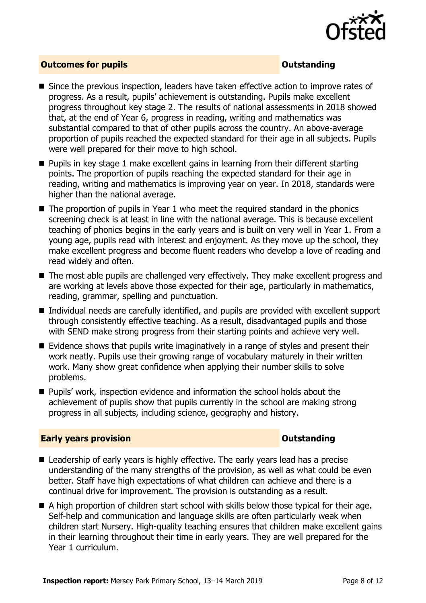

#### **Outcomes for pupils Outstanding**

- Since the previous inspection, leaders have taken effective action to improve rates of progress. As a result, pupils' achievement is outstanding. Pupils make excellent progress throughout key stage 2. The results of national assessments in 2018 showed that, at the end of Year 6, progress in reading, writing and mathematics was substantial compared to that of other pupils across the country. An above-average proportion of pupils reached the expected standard for their age in all subjects. Pupils were well prepared for their move to high school.
- **Pupils in key stage 1 make excellent gains in learning from their different starting** points. The proportion of pupils reaching the expected standard for their age in reading, writing and mathematics is improving year on year. In 2018, standards were higher than the national average.
- $\blacksquare$  The proportion of pupils in Year 1 who meet the required standard in the phonics screening check is at least in line with the national average. This is because excellent teaching of phonics begins in the early years and is built on very well in Year 1. From a young age, pupils read with interest and enjoyment. As they move up the school, they make excellent progress and become fluent readers who develop a love of reading and read widely and often.
- The most able pupils are challenged very effectively. They make excellent progress and are working at levels above those expected for their age, particularly in mathematics, reading, grammar, spelling and punctuation.
- Individual needs are carefully identified, and pupils are provided with excellent support through consistently effective teaching. As a result, disadvantaged pupils and those with SEND make strong progress from their starting points and achieve very well.
- Evidence shows that pupils write imaginatively in a range of styles and present their work neatly. Pupils use their growing range of vocabulary maturely in their written work. Many show great confidence when applying their number skills to solve problems.
- Pupils' work, inspection evidence and information the school holds about the achievement of pupils show that pupils currently in the school are making strong progress in all subjects, including science, geography and history.

#### **Early years provision CONSISTER SERVICES CONSISTENT CONSTANT CONSTANT CONSTANT CONSISTENT CONSTANT CONSTANT CONSTANT CONSTANT CONSTANT CONSTANT CONSTANT CONSTANT CONSTANT CONSTANT CONSTANT CONSTANT CONSTANT CONSTANT C**

- Leadership of early years is highly effective. The early years lead has a precise understanding of the many strengths of the provision, as well as what could be even better. Staff have high expectations of what children can achieve and there is a continual drive for improvement. The provision is outstanding as a result.
- A high proportion of children start school with skills below those typical for their age. Self-help and communication and language skills are often particularly weak when children start Nursery. High-quality teaching ensures that children make excellent gains in their learning throughout their time in early years. They are well prepared for the Year 1 curriculum.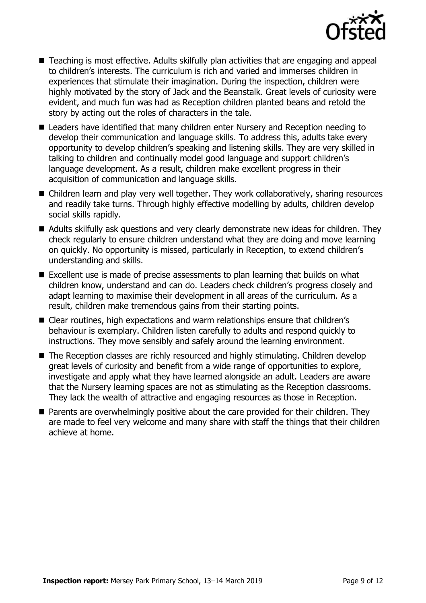

- Teaching is most effective. Adults skilfully plan activities that are engaging and appeal to children's interests. The curriculum is rich and varied and immerses children in experiences that stimulate their imagination. During the inspection, children were highly motivated by the story of Jack and the Beanstalk. Great levels of curiosity were evident, and much fun was had as Reception children planted beans and retold the story by acting out the roles of characters in the tale.
- Leaders have identified that many children enter Nursery and Reception needing to develop their communication and language skills. To address this, adults take every opportunity to develop children's speaking and listening skills. They are very skilled in talking to children and continually model good language and support children's language development. As a result, children make excellent progress in their acquisition of communication and language skills.
- Children learn and play very well together. They work collaboratively, sharing resources and readily take turns. Through highly effective modelling by adults, children develop social skills rapidly.
- Adults skilfully ask questions and very clearly demonstrate new ideas for children. They check regularly to ensure children understand what they are doing and move learning on quickly. No opportunity is missed, particularly in Reception, to extend children's understanding and skills.
- Excellent use is made of precise assessments to plan learning that builds on what children know, understand and can do. Leaders check children's progress closely and adapt learning to maximise their development in all areas of the curriculum. As a result, children make tremendous gains from their starting points.
- Clear routines, high expectations and warm relationships ensure that children's behaviour is exemplary. Children listen carefully to adults and respond quickly to instructions. They move sensibly and safely around the learning environment.
- The Reception classes are richly resourced and highly stimulating. Children develop great levels of curiosity and benefit from a wide range of opportunities to explore, investigate and apply what they have learned alongside an adult. Leaders are aware that the Nursery learning spaces are not as stimulating as the Reception classrooms. They lack the wealth of attractive and engaging resources as those in Reception.
- **Parents are overwhelmingly positive about the care provided for their children. They** are made to feel very welcome and many share with staff the things that their children achieve at home.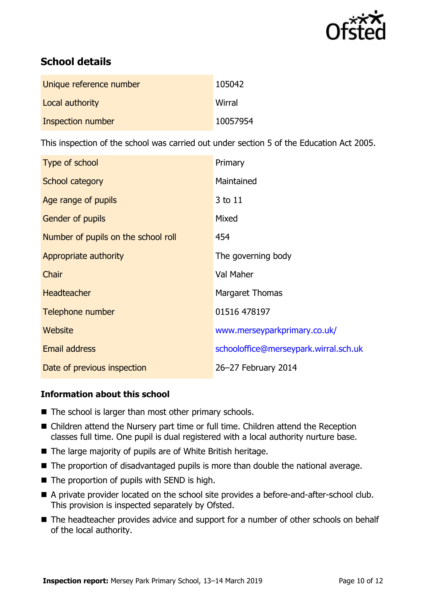

# **School details**

| Unique reference number | 105042   |
|-------------------------|----------|
| Local authority         | Wirral   |
| Inspection number       | 10057954 |

This inspection of the school was carried out under section 5 of the Education Act 2005.

| Type of school                      | Primary                               |
|-------------------------------------|---------------------------------------|
| School category                     | Maintained                            |
| Age range of pupils                 | 3 to 11                               |
| <b>Gender of pupils</b>             | Mixed                                 |
| Number of pupils on the school roll | 454                                   |
| Appropriate authority               | The governing body                    |
| Chair                               | Val Maher                             |
| <b>Headteacher</b>                  | Margaret Thomas                       |
| Telephone number                    | 01516 478197                          |
| <b>Website</b>                      | www.merseyparkprimary.co.uk/          |
| <b>Email address</b>                | schooloffice@merseypark.wirral.sch.uk |
| Date of previous inspection         | 26-27 February 2014                   |

### **Information about this school**

- $\blacksquare$  The school is larger than most other primary schools.
- Children attend the Nursery part time or full time. Children attend the Reception classes full time. One pupil is dual registered with a local authority nurture base.
- The large majority of pupils are of White British heritage.
- The proportion of disadvantaged pupils is more than double the national average.
- $\blacksquare$  The proportion of pupils with SEND is high.
- A private provider located on the school site provides a before-and-after-school club. This provision is inspected separately by Ofsted.
- The headteacher provides advice and support for a number of other schools on behalf of the local authority.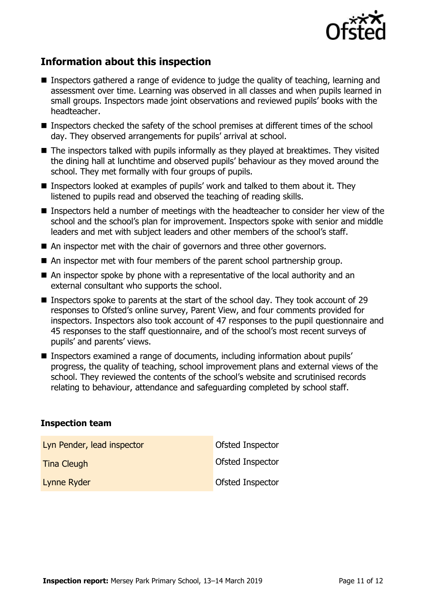

# **Information about this inspection**

- Inspectors gathered a range of evidence to judge the quality of teaching, learning and assessment over time. Learning was observed in all classes and when pupils learned in small groups. Inspectors made joint observations and reviewed pupils' books with the headteacher.
- $\blacksquare$  Inspectors checked the safety of the school premises at different times of the school day. They observed arrangements for pupils' arrival at school.
- The inspectors talked with pupils informally as they played at breaktimes. They visited the dining hall at lunchtime and observed pupils' behaviour as they moved around the school. They met formally with four groups of pupils.
- **Inspectors looked at examples of pupils' work and talked to them about it. They** listened to pupils read and observed the teaching of reading skills.
- Inspectors held a number of meetings with the headteacher to consider her view of the school and the school's plan for improvement. Inspectors spoke with senior and middle leaders and met with subject leaders and other members of the school's staff.
- An inspector met with the chair of governors and three other governors.
- An inspector met with four members of the parent school partnership group.
- An inspector spoke by phone with a representative of the local authority and an external consultant who supports the school.
- Inspectors spoke to parents at the start of the school day. They took account of 29 responses to Ofsted's online survey, Parent View, and four comments provided for inspectors. Inspectors also took account of 47 responses to the pupil questionnaire and 45 responses to the staff questionnaire, and of the school's most recent surveys of pupils' and parents' views.
- Inspectors examined a range of documents, including information about pupils' progress, the quality of teaching, school improvement plans and external views of the school. They reviewed the contents of the school's website and scrutinised records relating to behaviour, attendance and safeguarding completed by school staff.

#### **Inspection team**

| Lyn Pender, lead inspector | Ofsted Inspector |
|----------------------------|------------------|
| <b>Tina Cleugh</b>         | Ofsted Inspector |
| <b>Lynne Ryder</b>         | Ofsted Inspector |